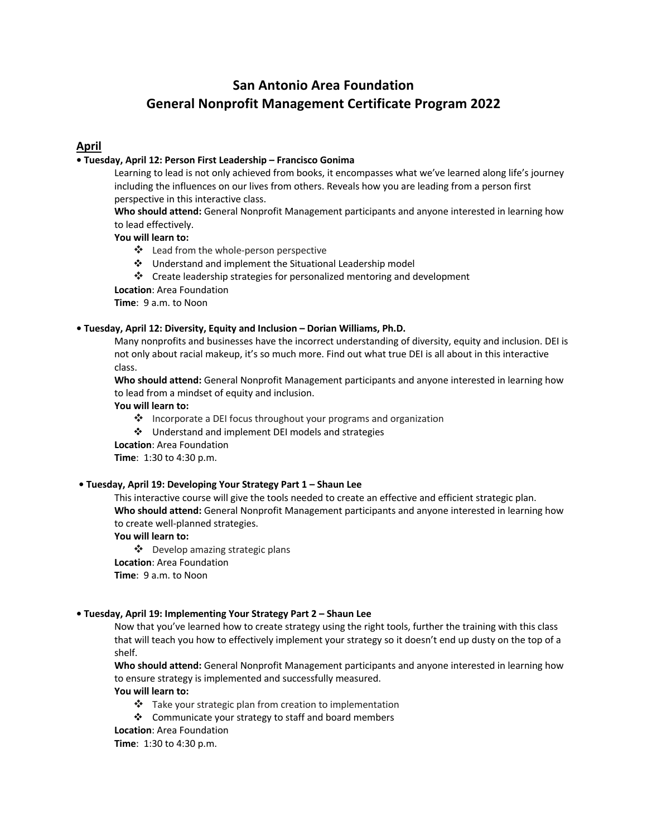# **San Antonio Area Foundation General Nonprofit Management Certificate Program 2022**

# **April**

# **• Tuesday, April 12: Person First Leadership – Francisco Gonima**

Learning to lead is not only achieved from books, it encompasses what we've learned along life's journey including the influences on our lives from others. Reveals how you are leading from a person first perspective in this interactive class.

**Who should attend:** General Nonprofit Management participants and anyone interested in learning how to lead effectively.

**You will learn to:**

- ❖ Lead from the whole-person perspective
- v Understand and implement the Situational Leadership model
- $\cdot$  Create leadership strategies for personalized mentoring and development

**Location**: Area Foundation

**Time**: 9 a.m. to Noon

# **• Tuesday, April 12: Diversity, Equity and Inclusion – Dorian Williams, Ph.D.**

Many nonprofits and businesses have the incorrect understanding of diversity, equity and inclusion. DEI is not only about racial makeup, it's so much more. Find out what true DEI is all about in this interactive class.

**Who should attend:** General Nonprofit Management participants and anyone interested in learning how to lead from a mindset of equity and inclusion.

#### **You will learn to:**

- $\cdot$  Incorporate a DEI focus throughout your programs and organization
- v Understand and implement DEI models and strategies

**Location**: Area Foundation

**Time**: 1:30 to 4:30 p.m.

# **• Tuesday, April 19: Developing Your Strategy Part 1 – Shaun Lee**

This interactive course will give the tools needed to create an effective and efficient strategic plan. **Who should attend:** General Nonprofit Management participants and anyone interested in learning how to create well-planned strategies.

# **You will learn to:**

v Develop amazing strategic plans **Location**: Area Foundation **Time**: 9 a.m. to Noon

#### **• Tuesday, April 19: Implementing Your Strategy Part 2 – Shaun Lee**

Now that you've learned how to create strategy using the right tools, further the training with this class that will teach you how to effectively implement your strategy so it doesn't end up dusty on the top of a shelf.

**Who should attend:** General Nonprofit Management participants and anyone interested in learning how to ensure strategy is implemented and successfully measured.

# **You will learn to:**

- $\cdot$  Take your strategic plan from creation to implementation
- v Communicate your strategy to staff and board members

**Location**: Area Foundation

**Time**: 1:30 to 4:30 p.m.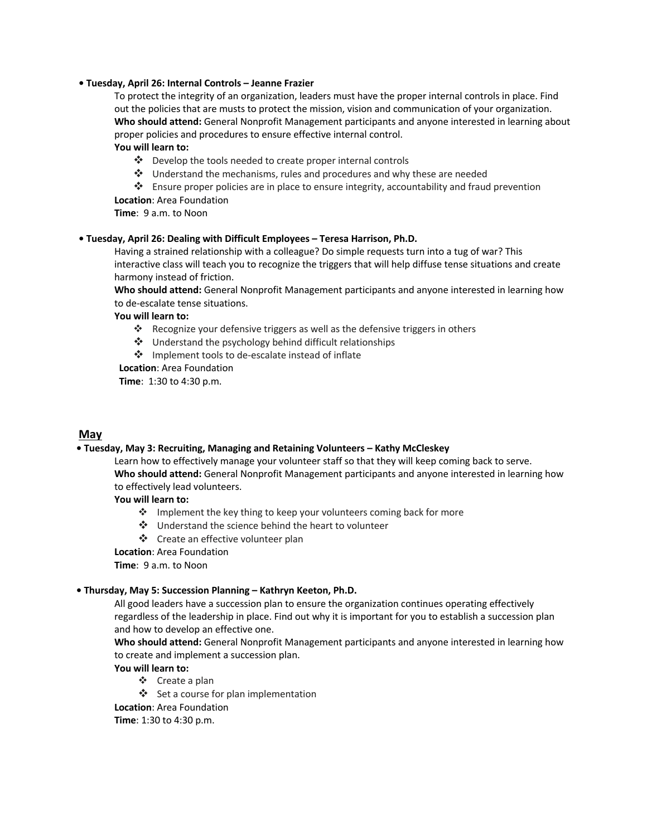#### **• Tuesday, April 26: Internal Controls – Jeanne Frazier**

To protect the integrity of an organization, leaders must have the proper internal controls in place. Find out the policies that are musts to protect the mission, vision and communication of your organization. **Who should attend:** General Nonprofit Management participants and anyone interested in learning about proper policies and procedures to ensure effective internal control.

## **You will learn to:**

- v Develop the tools needed to create proper internal controls
- v Understand the mechanisms, rules and procedures and why these are needed
- $\clubsuit$  Ensure proper policies are in place to ensure integrity, accountability and fraud prevention **Location**: Area Foundation

**Time**: 9 a.m. to Noon

#### **• Tuesday, April 26: Dealing with Difficult Employees – Teresa Harrison, Ph.D.**

Having a strained relationship with a colleague? Do simple requests turn into a tug of war? This interactive class will teach you to recognize the triggers that will help diffuse tense situations and create harmony instead of friction.

**Who should attend:** General Nonprofit Management participants and anyone interested in learning how to de-escalate tense situations.

# **You will learn to:**

- Recognize your defensive triggers as well as the defensive triggers in others
- $\cdot$  Understand the psychology behind difficult relationships
- v Implement tools to de-escalate instead of inflate

**Location**: Area Foundation

**Time**: 1:30 to 4:30 p.m.

# **May**

#### **• Tuesday, May 3: Recruiting, Managing and Retaining Volunteers – Kathy McCleskey**

Learn how to effectively manage your volunteer staff so that they will keep coming back to serve. **Who should attend:** General Nonprofit Management participants and anyone interested in learning how to effectively lead volunteers.

# **You will learn to:**

- $\cdot$  Implement the key thing to keep your volunteers coming back for more
- ❖ Understand the science behind the heart to volunteer
- ❖ Create an effective volunteer plan

#### **Location**: Area Foundation

**Time**: 9 a.m. to Noon

#### **• Thursday, May 5: Succession Planning – Kathryn Keeton, Ph.D.**

All good leaders have a succession plan to ensure the organization continues operating effectively regardless of the leadership in place. Find out why it is important for you to establish a succession plan and how to develop an effective one.

**Who should attend:** General Nonprofit Management participants and anyone interested in learning how to create and implement a succession plan.

**You will learn to:**

- v Create a plan
- $\div$  Set a course for plan implementation

**Location**: Area Foundation

**Time**: 1:30 to 4:30 p.m.